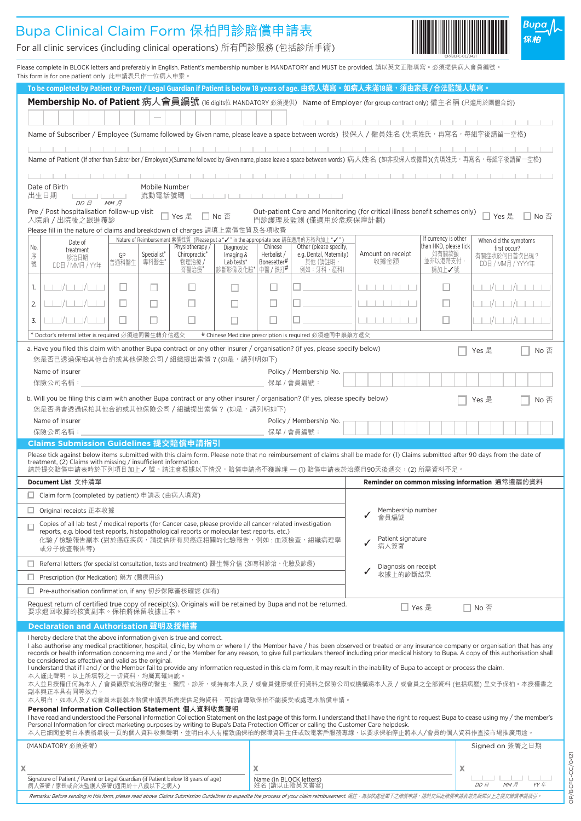|                                                                                                                                                                              | Bupa Clinical Claim Form 保柏門診賠償申請表<br>For all clinic services (including clinical operations) 所有門診服務 (包括診所手術)                                                                                                                                                                                                                                                                                                                                                                                                                                                                                                                                                                                                                             |             |                      |                                                        |                                       |                                                                                   |                                                               |                                                |                                            |                                                               | 保柏              |  |
|------------------------------------------------------------------------------------------------------------------------------------------------------------------------------|-------------------------------------------------------------------------------------------------------------------------------------------------------------------------------------------------------------------------------------------------------------------------------------------------------------------------------------------------------------------------------------------------------------------------------------------------------------------------------------------------------------------------------------------------------------------------------------------------------------------------------------------------------------------------------------------------------------------------------------------|-------------|----------------------|--------------------------------------------------------|---------------------------------------|-----------------------------------------------------------------------------------|---------------------------------------------------------------|------------------------------------------------|--------------------------------------------|---------------------------------------------------------------|-----------------|--|
|                                                                                                                                                                              | Please complete in BLOCK letters and preferably in English. Patient's membership number is MANDATORY and MUST be provided. 請以英文正階填寫。必須提供病人會員編號。                                                                                                                                                                                                                                                                                                                                                                                                                                                                                                                                                                                           |             |                      |                                                        |                                       |                                                                                   |                                                               |                                                |                                            |                                                               |                 |  |
| This form is for one patient only 此申請表只作一位病人申索。<br>To be completed by Patient or Parent / Legal Guardian if Patient is below 18 years of age. 由病人填寫。如病人未滿18歲,須由家長 / 合法監護人填寫。 |                                                                                                                                                                                                                                                                                                                                                                                                                                                                                                                                                                                                                                                                                                                                           |             |                      |                                                        |                                       |                                                                                   |                                                               |                                                |                                            |                                                               |                 |  |
| Membership No. of Patient 病人會員編號 (16 digits位 MANDATORY 必須提供) Name of Employer (for group contract only) 僱主名稱 (只適用於團體合約)                                                      |                                                                                                                                                                                                                                                                                                                                                                                                                                                                                                                                                                                                                                                                                                                                           |             |                      |                                                        |                                       |                                                                                   |                                                               |                                                |                                            |                                                               |                 |  |
|                                                                                                                                                                              |                                                                                                                                                                                                                                                                                                                                                                                                                                                                                                                                                                                                                                                                                                                                           |             |                      |                                                        |                                       |                                                                                   |                                                               |                                                |                                            |                                                               |                 |  |
|                                                                                                                                                                              |                                                                                                                                                                                                                                                                                                                                                                                                                                                                                                                                                                                                                                                                                                                                           |             |                      |                                                        |                                       |                                                                                   |                                                               |                                                |                                            |                                                               |                 |  |
|                                                                                                                                                                              | Name of Subscriber / Employee (Surname followed by Given name, please leave a space between words) 投保人 / 僱員姓名 (先填姓氏, 再寫名, 每組字後請留一空格)                                                                                                                                                                                                                                                                                                                                                                                                                                                                                                                                                                                                      |             |                      |                                                        |                                       |                                                                                   |                                                               |                                                |                                            |                                                               |                 |  |
|                                                                                                                                                                              | .<br>Name of Patient (If other than Subscriber / Employee)(Surname followed by Given name, please leave a space between words) 病人姓名 (如非投保人或僱員)(先填姓氏,再寫名,每組字後請留一空格)                                                                                                                                                                                                                                                                                                                                                                                                                                                                                                                                                                        |             |                      |                                                        |                                       |                                                                                   |                                                               |                                                |                                            |                                                               |                 |  |
|                                                                                                                                                                              |                                                                                                                                                                                                                                                                                                                                                                                                                                                                                                                                                                                                                                                                                                                                           |             |                      |                                                        |                                       |                                                                                   |                                                               |                                                |                                            |                                                               |                 |  |
|                                                                                                                                                                              | Date of Birth<br>Mobile Number<br>流動電話號碼<br>出生日期<br><b>The Committee of the Committee of the Committee</b><br><b>Contract Contract</b>                                                                                                                                                                                                                                                                                                                                                                                                                                                                                                                                                                                                    |             |                      |                                                        |                                       |                                                                                   |                                                               |                                                |                                            |                                                               |                 |  |
|                                                                                                                                                                              | $DD \nbox{ } \nbox{ } \nbox{ }$<br>MMH<br>Pre / Post hospitalisation follow-up visit<br>Out-patient Care and Monitoring (for critical illness benefit schemes only)<br>□ Yes 是<br>□ Yes 是<br>□ No 否<br>□ No 否<br>門診護理及監測 (僅適用於危疾保障計劃)<br>入院前/出院後之跟進覆診                                                                                                                                                                                                                                                                                                                                                                                                                                                                                     |             |                      |                                                        |                                       |                                                                                   |                                                               |                                                |                                            |                                                               |                 |  |
|                                                                                                                                                                              | Please fill in the nature of claims and breakdown of charges 請填上索償性質及各項收費<br>If currency is other<br>Nature of Reimbursement 索償性質 (Please put a "√" in the appropriate box 請在適用的方格內加上 "√")<br>When did the symptoms                                                                                                                                                                                                                                                                                                                                                                                                                                                                                                                       |             |                      |                                                        |                                       |                                                                                   |                                                               |                                                |                                            |                                                               |                 |  |
| No.<br>序<br>號                                                                                                                                                                | Date of<br>treatment<br>診治日期<br>DD日 / MM月 / YY年                                                                                                                                                                                                                                                                                                                                                                                                                                                                                                                                                                                                                                                                                           | GP<br>普通科醫生 | Specialist*<br>專科醫生* | Physiotherapy /<br>Chiropractic <sup>*</sup><br>物理治療 / | Diagnostic<br>Imaging &<br>Lab tests* | Chinese<br>Herbalist /<br>Bonesetter#                                             | Other (please specify,<br>e.g. Dental, Maternity)<br>其他 (請註明, | Amount on receipt<br>收據金額                      | than HKD, please tick<br>如有關款額<br>並非以港幣支付, | first occur?<br>有關症狀於何日首次出現?<br>DD日 / MM月 / YYYY年             |                 |  |
| 1.                                                                                                                                                                           |                                                                                                                                                                                                                                                                                                                                                                                                                                                                                                                                                                                                                                                                                                                                           | ப           |                      | 脊醫治療"                                                  | 診斷影像及化驗* 中醫 / 跌打#                     |                                                                                   | 例如:牙科、產科)                                                     |                                                | 請加上✔號                                      |                                                               |                 |  |
| 2.                                                                                                                                                                           | $\sqrt{2}$                                                                                                                                                                                                                                                                                                                                                                                                                                                                                                                                                                                                                                                                                                                                | ш           | □                    |                                                        |                                       | ш                                                                                 |                                                               |                                                | н                                          |                                                               |                 |  |
| 3.                                                                                                                                                                           | $1/1$ $1/1$                                                                                                                                                                                                                                                                                                                                                                                                                                                                                                                                                                                                                                                                                                                               | ш           |                      |                                                        |                                       |                                                                                   |                                                               |                                                | П                                          | $\vert \vert$ $\vert$ $\vert$ $\vert$ $\vert$ $\vert$ $\vert$ |                 |  |
|                                                                                                                                                                              |                                                                                                                                                                                                                                                                                                                                                                                                                                                                                                                                                                                                                                                                                                                                           |             |                      |                                                        |                                       |                                                                                   |                                                               |                                                |                                            |                                                               |                 |  |
|                                                                                                                                                                              | * Doctor's referral letter is required 必須連同醫生轉介信遞交<br># Chinese Medicine prescription is required 必須連同中藥藥方遞交<br>a. Have you filed this claim with another Bupa contract or any other insurer / organisation? (if yes, please specify below)<br>No 否<br>Yes 是<br>您是否已透過保柏其他合約或其他保險公司/組織提出索償?(如是,請列明如下)                                                                                                                                                                                                                                                                                                                                                                                                                                     |             |                      |                                                        |                                       |                                                                                   |                                                               |                                                |                                            |                                                               |                 |  |
|                                                                                                                                                                              | Name of Insurer<br>Policy / Membership No.<br>保單 / 會員編號:<br>保險公司名稱:                                                                                                                                                                                                                                                                                                                                                                                                                                                                                                                                                                                                                                                                       |             |                      |                                                        |                                       |                                                                                   |                                                               |                                                |                                            |                                                               |                 |  |
|                                                                                                                                                                              | b. Will you be filing this claim with another Bupa contract or any other insurer / organisation? (If yes, please specify below)                                                                                                                                                                                                                                                                                                                                                                                                                                                                                                                                                                                                           |             |                      |                                                        |                                       |                                                                                   |                                                               |                                                |                                            | Yes 是                                                         | No 否            |  |
|                                                                                                                                                                              | 您是否將會透過保柏其他合約或其他保險公司 / 組織提出索償 ? (如是,請列明如下)                                                                                                                                                                                                                                                                                                                                                                                                                                                                                                                                                                                                                                                                                                |             |                      |                                                        |                                       |                                                                                   |                                                               |                                                |                                            |                                                               |                 |  |
|                                                                                                                                                                              | Name of Insurer<br>Policy / Membership No.<br>保險公司名稱:<br>保單 / 會員編號:                                                                                                                                                                                                                                                                                                                                                                                                                                                                                                                                                                                                                                                                       |             |                      |                                                        |                                       |                                                                                   |                                                               |                                                |                                            |                                                               |                 |  |
|                                                                                                                                                                              | Claims Submission Guidelines 提交賠償申請指引                                                                                                                                                                                                                                                                                                                                                                                                                                                                                                                                                                                                                                                                                                     |             |                      |                                                        |                                       |                                                                                   |                                                               |                                                |                                            |                                                               |                 |  |
|                                                                                                                                                                              | Please tick against below items submitted with this claim form. Please note that no reimbursement of claims shall be made for (1) Claims submitted after 90 days from the date of<br>treatment, (2) Claims with missing / insufficient information.<br>請於提交賠償申請表時於下列項目加上✔ 號。請注意根據以下情況,賠償申請將不獲辦理 ─ (1) 賠償申請表於治療日90天後遞交;(2) 所需資料不足。                                                                                                                                                                                                                                                                                                                                                                                                         |             |                      |                                                        |                                       |                                                                                   |                                                               |                                                |                                            |                                                               |                 |  |
|                                                                                                                                                                              | Document List 文件清單                                                                                                                                                                                                                                                                                                                                                                                                                                                                                                                                                                                                                                                                                                                        |             |                      |                                                        |                                       |                                                                                   |                                                               | Reminder on common missing information 通常遺漏的資料 |                                            |                                                               |                 |  |
|                                                                                                                                                                              | Claim form (completed by patient) 申請表 (由病人填寫)                                                                                                                                                                                                                                                                                                                                                                                                                                                                                                                                                                                                                                                                                             |             |                      |                                                        |                                       |                                                                                   |                                                               |                                                |                                            |                                                               |                 |  |
| Original receipts 正本收據                                                                                                                                                       |                                                                                                                                                                                                                                                                                                                                                                                                                                                                                                                                                                                                                                                                                                                                           |             |                      |                                                        |                                       |                                                                                   | Membership number                                             |                                                |                                            |                                                               |                 |  |
|                                                                                                                                                                              | Copies of all lab test / medical reports (for Cancer case, please provide all cancer related investigation                                                                                                                                                                                                                                                                                                                                                                                                                                                                                                                                                                                                                                |             |                      |                                                        |                                       |                                                                                   |                                                               | 會員編號                                           |                                            |                                                               |                 |  |
| reports, e.g. blood test reports, histopathological reports or molecular test reports, etc.)<br>化驗 / 檢驗報告副本 (對於癌症疾病,請提供所有與癌症相關的化驗報告,例如 : 血液檢查,組織病理學<br>或分子檢查報告等)             |                                                                                                                                                                                                                                                                                                                                                                                                                                                                                                                                                                                                                                                                                                                                           |             |                      |                                                        |                                       |                                                                                   | Patient signature<br>病人簽署                                     |                                                |                                            |                                                               |                 |  |
|                                                                                                                                                                              | □ Referral letters (for specialist consultation, tests and treatment) 醫生轉介信 (如專科診治、化驗及診療)                                                                                                                                                                                                                                                                                                                                                                                                                                                                                                                                                                                                                                                 |             |                      |                                                        |                                       |                                                                                   |                                                               | Diagnosis on receipt                           |                                            |                                                               |                 |  |
| ப                                                                                                                                                                            | Prescription (for Medication) 藥方 (醫療用途)                                                                                                                                                                                                                                                                                                                                                                                                                                                                                                                                                                                                                                                                                                   |             |                      |                                                        |                                       |                                                                                   |                                                               |                                                | 收據上的診斷結果                                   |                                                               |                 |  |
|                                                                                                                                                                              | □ Pre-authorisation confirmation, if any 初步保障審核確認 (如有)                                                                                                                                                                                                                                                                                                                                                                                                                                                                                                                                                                                                                                                                                    |             |                      |                                                        |                                       |                                                                                   |                                                               |                                                |                                            |                                                               |                 |  |
|                                                                                                                                                                              | Request return of certified true copy of receipt(s). Originals will be retained by Bupa and not be returned.<br>□ Yes 是<br>□ No 否<br>要求退回收據的核實副本。保柏將保留收據正本。                                                                                                                                                                                                                                                                                                                                                                                                                                                                                                                                                                               |             |                      |                                                        |                                       |                                                                                   |                                                               |                                                |                                            |                                                               |                 |  |
|                                                                                                                                                                              | Declaration and Authorisation 聲明及授權書                                                                                                                                                                                                                                                                                                                                                                                                                                                                                                                                                                                                                                                                                                      |             |                      |                                                        |                                       |                                                                                   |                                                               |                                                |                                            |                                                               |                 |  |
|                                                                                                                                                                              | I hereby declare that the above information given is true and correct.<br>I also authorise any medical practitioner, hospital, clinic, by whom or where I / the Member have / has been observed or treated or any insurance company or organisation that has any<br>records or health information concerning me and / or the Member for any reason, to give full particulars thereof including prior medical history to Bupa. A copy of this authorisation shall<br>be considered as effective and valid as the original.<br>I understand that if I and / or the Member fail to provide any information requested in this claim form, it may result in the inability of Bupa to accept or process the claim.<br>本人謹此聲明,以上所填報之一切資料,均屬真確無訛。 |             |                      |                                                        |                                       |                                                                                   |                                                               |                                                |                                            |                                                               |                 |  |
|                                                                                                                                                                              | 本人並且授權任何為本人/會員觀察或治療的醫生、醫院、診所,或持有本人及/或會員健康或任何資料之保險公司或機構將本人及/或會員之全部資料 (包括病歷) 呈交予保柏。本授權書之<br>副本與正本具有同等效力。<br>本人明白,如本人及/或會員未能就本賠償申請表所需提供足夠資料,可能會導致保柏不能接受或處理本賠償申請。                                                                                                                                                                                                                                                                                                                                                                                                                                                                                                                                                                             |             |                      |                                                        |                                       |                                                                                   |                                                               |                                                |                                            |                                                               |                 |  |
|                                                                                                                                                                              | Personal Information Collection Statement 個人資料收集聲明<br>I have read and understood the Personal Information Collection Statement on the last page of this form. I understand that I have the right to request Bupa to cease using my / the member's<br>Personal Information for direct marketing purposes by writing to Bupa's Data Protection Officer or calling the Customer Care helpdesk.                                                                                                                                                                                                                                                                                                                                               |             |                      |                                                        |                                       |                                                                                   |                                                               |                                                |                                            |                                                               |                 |  |
|                                                                                                                                                                              | (MANDATORY 必須簽署)                                                                                                                                                                                                                                                                                                                                                                                                                                                                                                                                                                                                                                                                                                                          |             |                      |                                                        |                                       | 本人已細閲並明白本表格最後一頁的個人資料收集聲明,並明白本人有權致函保柏的保障資料主任或致電客戶服務專線,以要求保柏停止將本人/會員的個人資料作直接市場推廣用途。 |                                                               |                                                |                                            | Signed on 簽署之日期                                               |                 |  |
|                                                                                                                                                                              |                                                                                                                                                                                                                                                                                                                                                                                                                                                                                                                                                                                                                                                                                                                                           |             |                      |                                                        |                                       |                                                                                   |                                                               |                                                |                                            |                                                               |                 |  |
| X                                                                                                                                                                            | Signature of Patient / Parent or Legal Guardian (if Patient below 18 years of age)<br>病人簽署 / 家長或合法監護人簽署(適用於十八歲以下之病人)                                                                                                                                                                                                                                                                                                                                                                                                                                                                                                                                                                                                                      |             |                      |                                                        | х                                     | Name (in BLOCK letters)<br>姓名 (請以正階英文書寫                                           |                                                               |                                                | X                                          | $DD \not\sqcap$<br>MMH                                        | $YY \not\equiv$ |  |

Remarks: Before sending in this form, please read above Claims Submission Guidelines to expedite the process of your claim reimbusement. 備註: 為加快處理閣下之賠償申請, 請於交回此賠償申請表前先細閱以上之提交賠償申請指引。